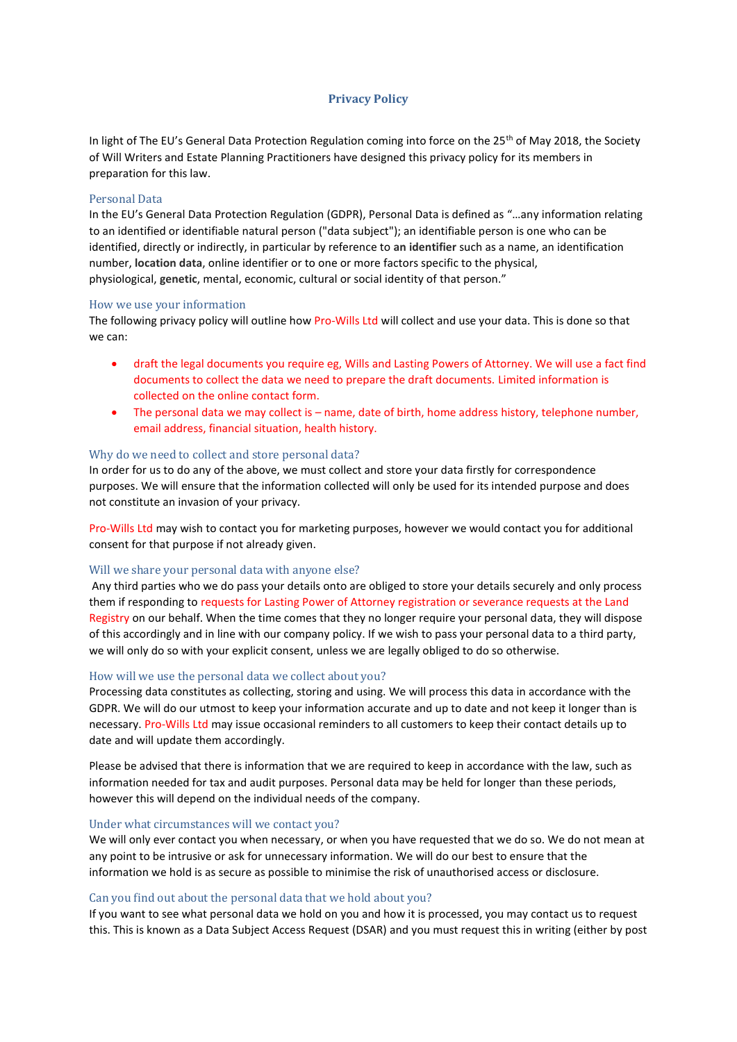# **Privacy Policy**

In light of The EU's General Data Protection Regulation coming into force on the 25<sup>th</sup> of May 2018, the Society of Will Writers and Estate Planning Practitioners have designed this privacy policy for its members in preparation for this law.

## Personal Data

In the EU's General Data Protection Regulation (GDPR), Personal Data is defined as "…any information relating to an identified or identifiable natural person ("data subject"); an identifiable person is one who can be identified, directly or indirectly, in particular by reference to **an identifier** such as a name, an identification number, **location data**, online identifier or to one or more factors specific to the physical, physiological, **genetic**, mental, economic, cultural or social identity of that person."

## How we use your information

The following privacy policy will outline how Pro-Wills Ltd will collect and use your data. This is done so that we can:

- draft the legal documents you require eg, Wills and Lasting Powers of Attorney. We will use a fact find documents to collect the data we need to prepare the draft documents. Limited information is collected on the online contact form.
- The personal data we may collect is name, date of birth, home address history, telephone number, email address, financial situation, health history.

# Why do we need to collect and store personal data?

In order for us to do any of the above, we must collect and store your data firstly for correspondence purposes. We will ensure that the information collected will only be used for its intended purpose and does not constitute an invasion of your privacy.

Pro-Wills Ltd may wish to contact you for marketing purposes, however we would contact you for additional consent for that purpose if not already given.

### Will we share your personal data with anyone else?

Any third parties who we do pass your details onto are obliged to store your details securely and only process them if responding to requests for Lasting Power of Attorney registration or severance requests at the Land Registry on our behalf. When the time comes that they no longer require your personal data, they will dispose of this accordingly and in line with our company policy. If we wish to pass your personal data to a third party, we will only do so with your explicit consent, unless we are legally obliged to do so otherwise.

# How will we use the personal data we collect about you?

Processing data constitutes as collecting, storing and using. We will process this data in accordance with the GDPR. We will do our utmost to keep your information accurate and up to date and not keep it longer than is necessary. Pro-Wills Ltd may issue occasional reminders to all customers to keep their contact details up to date and will update them accordingly.

Please be advised that there is information that we are required to keep in accordance with the law, such as information needed for tax and audit purposes. Personal data may be held for longer than these periods, however this will depend on the individual needs of the company.

### Under what circumstances will we contact you?

We will only ever contact you when necessary, or when you have requested that we do so. We do not mean at any point to be intrusive or ask for unnecessary information. We will do our best to ensure that the information we hold is as secure as possible to minimise the risk of unauthorised access or disclosure.

# Can you find out about the personal data that we hold about you?

If you want to see what personal data we hold on you and how it is processed, you may contact us to request this. This is known as a Data Subject Access Request (DSAR) and you must request this in writing (either by post